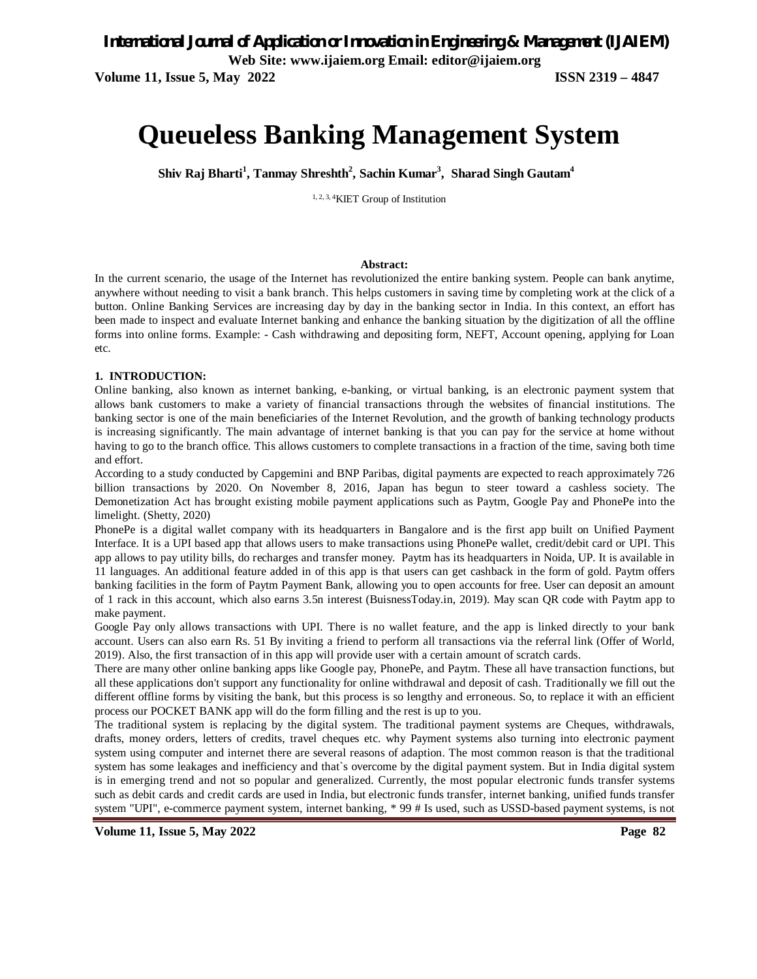*International Journal of Application or Innovation in Engineering & Management (IJAIEM)*

**Web Site: www.ijaiem.org Email: editor@ijaiem.org**

**Volume 11, Issue 5, May 2022 ISSN 2319 – 4847**

# **Queueless Banking Management System**

**Shiv Raj Bharti<sup>1</sup> , Tanmay Shreshth<sup>2</sup> , Sachin Kumar<sup>3</sup> , Sharad Singh Gautam<sup>4</sup>**

1, 2, 3, 4KIET Group of Institution

#### **Abstract:**

In the current scenario, the usage of the Internet has revolutionized the entire banking system. People can bank anytime, anywhere without needing to visit a bank branch. This helps customers in saving time by completing work at the click of a button. Online Banking Services are increasing day by day in the banking sector in India. In this context, an effort has been made to inspect and evaluate Internet banking and enhance the banking situation by the digitization of all the offline forms into online forms. Example: - Cash withdrawing and depositing form, NEFT, Account opening, applying for Loan etc.

#### **1. INTRODUCTION:**

Online banking, also known as internet banking, e-banking, or virtual banking, is an electronic payment system that allows bank customers to make a variety of financial transactions through the websites of financial institutions. The banking sector is one of the main beneficiaries of the Internet Revolution, and the growth of banking technology products is increasing significantly. The main advantage of internet banking is that you can pay for the service at home without having to go to the branch office. This allows customers to complete transactions in a fraction of the time, saving both time and effort.

According to a study conducted by Capgemini and BNP Paribas, digital payments are expected to reach approximately 726 billion transactions by 2020. On November 8, 2016, Japan has begun to steer toward a cashless society. The Demonetization Act has brought existing mobile payment applications such as Paytm, Google Pay and PhonePe into the limelight. (Shetty, 2020)

PhonePe is a digital wallet company with its headquarters in Bangalore and is the first app built on Unified Payment Interface. It is a UPI based app that allows users to make transactions using PhonePe wallet, credit/debit card or UPI. This app allows to pay utility bills, do recharges and transfer money. Paytm has its headquarters in Noida, UP. It is available in 11 languages. An additional feature added in of this app is that users can get cashback in the form of gold. Paytm offers banking facilities in the form of Paytm Payment Bank, allowing you to open accounts for free. User can deposit an amount of 1 rack in this account, which also earns 3.5n interest (BuisnessToday.in, 2019). May scan QR code with Paytm app to make payment.

Google Pay only allows transactions with UPI. There is no wallet feature, and the app is linked directly to your bank account. Users can also earn Rs. 51 By inviting a friend to perform all transactions via the referral link (Offer of World, 2019). Also, the first transaction of in this app will provide user with a certain amount of scratch cards.

There are many other online banking apps like Google pay, PhonePe, and Paytm. These all have transaction functions, but all these applications don't support any functionality for online withdrawal and deposit of cash. Traditionally we fill out the different offline forms by visiting the bank, but this process is so lengthy and erroneous. So, to replace it with an efficient process our POCKET BANK app will do the form filling and the rest is up to you.

The traditional system is replacing by the digital system. The traditional payment systems are Cheques, withdrawals, drafts, money orders, letters of credits, travel cheques etc. why Payment systems also turning into electronic payment system using computer and internet there are several reasons of adaption. The most common reason is that the traditional system has some leakages and inefficiency and that`s overcome by the digital payment system. But in India digital system is in emerging trend and not so popular and generalized. Currently, the most popular electronic funds transfer systems such as debit cards and credit cards are used in India, but electronic funds transfer, internet banking, unified funds transfer system "UPI", e-commerce payment system, internet banking, \* 99 # Is used, such as USSD-based payment systems, is not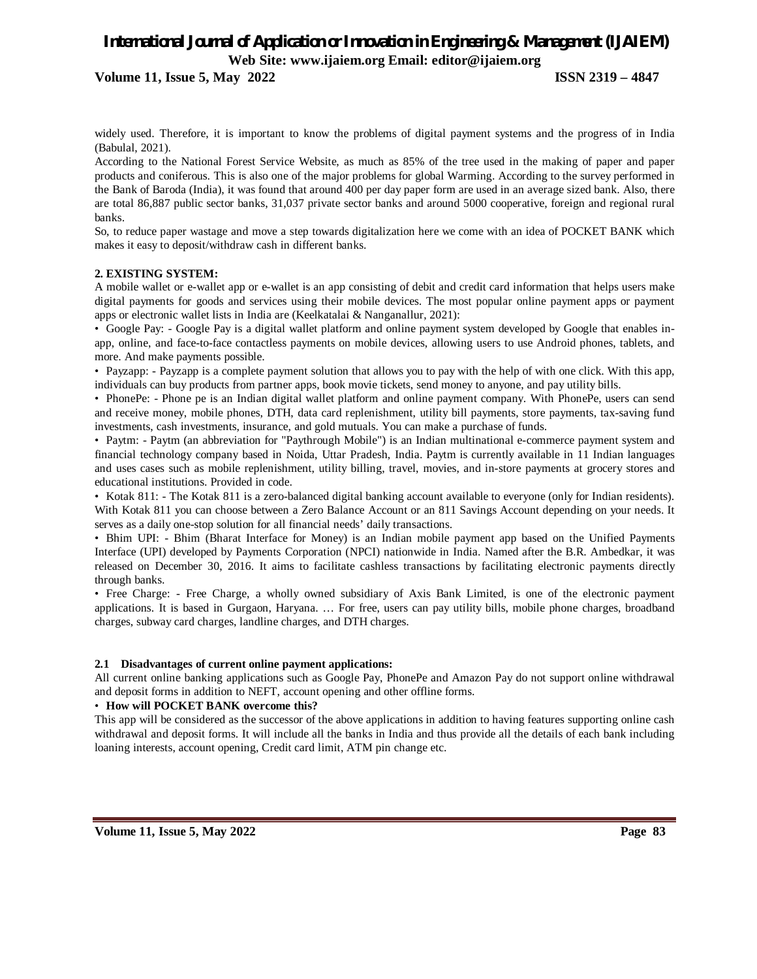**Volume 11, Issue 5, May 2022 ISSN 2319 – 4847**

widely used. Therefore, it is important to know the problems of digital payment systems and the progress of in India (Babulal, 2021).

According to the National Forest Service Website, as much as 85% of the tree used in the making of paper and paper products and coniferous. This is also one of the major problems for global Warming. According to the survey performed in the Bank of Baroda (India), it was found that around 400 per day paper form are used in an average sized bank. Also, there are total 86,887 public sector banks, 31,037 private sector banks and around 5000 cooperative, foreign and regional rural banks.

So, to reduce paper wastage and move a step towards digitalization here we come with an idea of POCKET BANK which makes it easy to deposit/withdraw cash in different banks.

#### **2. EXISTING SYSTEM:**

A mobile wallet or e-wallet app or e-wallet is an app consisting of debit and credit card information that helps users make digital payments for goods and services using their mobile devices. The most popular online payment apps or payment apps or electronic wallet lists in India are (Keelkatalai & Nanganallur, 2021):

• Google Pay: - Google Pay is a digital wallet platform and online payment system developed by Google that enables inapp, online, and face-to-face contactless payments on mobile devices, allowing users to use Android phones, tablets, and more. And make payments possible.

• Payzapp: - Payzapp is a complete payment solution that allows you to pay with the help of with one click. With this app, individuals can buy products from partner apps, book movie tickets, send money to anyone, and pay utility bills.

• PhonePe: - Phone pe is an Indian digital wallet platform and online payment company. With PhonePe, users can send and receive money, mobile phones, DTH, data card replenishment, utility bill payments, store payments, tax-saving fund investments, cash investments, insurance, and gold mutuals. You can make a purchase of funds.

• Paytm: - Paytm (an abbreviation for "Paythrough Mobile") is an Indian multinational e-commerce payment system and financial technology company based in Noida, Uttar Pradesh, India. Paytm is currently available in 11 Indian languages and uses cases such as mobile replenishment, utility billing, travel, movies, and in-store payments at grocery stores and educational institutions. Provided in code.

• Kotak 811: - The Kotak 811 is a zero-balanced digital banking account available to everyone (only for Indian residents). With Kotak 811 you can choose between a Zero Balance Account or an 811 Savings Account depending on your needs. It serves as a daily one-stop solution for all financial needs' daily transactions.

• Bhim UPI: - Bhim (Bharat Interface for Money) is an Indian mobile payment app based on the Unified Payments Interface (UPI) developed by Payments Corporation (NPCI) nationwide in India. Named after the B.R. Ambedkar, it was released on December 30, 2016. It aims to facilitate cashless transactions by facilitating electronic payments directly through banks.

• Free Charge: - Free Charge, a wholly owned subsidiary of Axis Bank Limited, is one of the electronic payment applications. It is based in Gurgaon, Haryana. … For free, users can pay utility bills, mobile phone charges, broadband charges, subway card charges, landline charges, and DTH charges.

#### **2.1 Disadvantages of current online payment applications:**

All current online banking applications such as Google Pay, PhonePe and Amazon Pay do not support online withdrawal and deposit forms in addition to NEFT, account opening and other offline forms.

#### • **How will POCKET BANK overcome this?**

This app will be considered as the successor of the above applications in addition to having features supporting online cash withdrawal and deposit forms. It will include all the banks in India and thus provide all the details of each bank including loaning interests, account opening, Credit card limit, ATM pin change etc.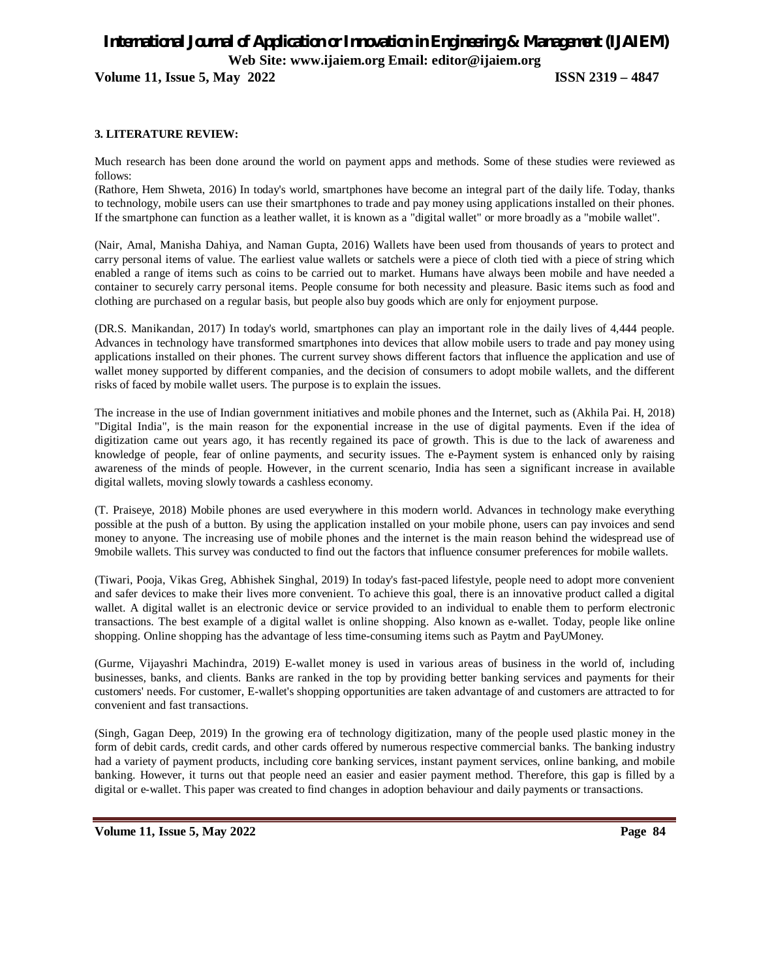**Volume 11, Issue 5, May 2022 ISSN 2319 – 4847**

#### **3. LITERATURE REVIEW:**

Much research has been done around the world on payment apps and methods. Some of these studies were reviewed as follows:

(Rathore, Hem Shweta, 2016) In today's world, smartphones have become an integral part of the daily life. Today, thanks to technology, mobile users can use their smartphones to trade and pay money using applications installed on their phones. If the smartphone can function as a leather wallet, it is known as a "digital wallet" or more broadly as a "mobile wallet".

(Nair, Amal, Manisha Dahiya, and Naman Gupta, 2016) Wallets have been used from thousands of years to protect and carry personal items of value. The earliest value wallets or satchels were a piece of cloth tied with a piece of string which enabled a range of items such as coins to be carried out to market. Humans have always been mobile and have needed a container to securely carry personal items. People consume for both necessity and pleasure. Basic items such as food and clothing are purchased on a regular basis, but people also buy goods which are only for enjoyment purpose.

(DR.S. Manikandan, 2017) In today's world, smartphones can play an important role in the daily lives of 4,444 people. Advances in technology have transformed smartphones into devices that allow mobile users to trade and pay money using applications installed on their phones. The current survey shows different factors that influence the application and use of wallet money supported by different companies, and the decision of consumers to adopt mobile wallets, and the different risks of faced by mobile wallet users. The purpose is to explain the issues.

The increase in the use of Indian government initiatives and mobile phones and the Internet, such as (Akhila Pai. H, 2018) "Digital India", is the main reason for the exponential increase in the use of digital payments. Even if the idea of digitization came out years ago, it has recently regained its pace of growth. This is due to the lack of awareness and knowledge of people, fear of online payments, and security issues. The e-Payment system is enhanced only by raising awareness of the minds of people. However, in the current scenario, India has seen a significant increase in available digital wallets, moving slowly towards a cashless economy.

(T. Praiseye, 2018) Mobile phones are used everywhere in this modern world. Advances in technology make everything possible at the push of a button. By using the application installed on your mobile phone, users can pay invoices and send money to anyone. The increasing use of mobile phones and the internet is the main reason behind the widespread use of 9mobile wallets. This survey was conducted to find out the factors that influence consumer preferences for mobile wallets.

(Tiwari, Pooja, Vikas Greg, Abhishek Singhal, 2019) In today's fast-paced lifestyle, people need to adopt more convenient and safer devices to make their lives more convenient. To achieve this goal, there is an innovative product called a digital wallet. A digital wallet is an electronic device or service provided to an individual to enable them to perform electronic transactions. The best example of a digital wallet is online shopping. Also known as e-wallet. Today, people like online shopping. Online shopping has the advantage of less time-consuming items such as Paytm and PayUMoney.

(Gurme, Vijayashri Machindra, 2019) E-wallet money is used in various areas of business in the world of, including businesses, banks, and clients. Banks are ranked in the top by providing better banking services and payments for their customers' needs. For customer, E-wallet's shopping opportunities are taken advantage of and customers are attracted to for convenient and fast transactions.

(Singh, Gagan Deep, 2019) In the growing era of technology digitization, many of the people used plastic money in the form of debit cards, credit cards, and other cards offered by numerous respective commercial banks. The banking industry had a variety of payment products, including core banking services, instant payment services, online banking, and mobile banking. However, it turns out that people need an easier and easier payment method. Therefore, this gap is filled by a digital or e-wallet. This paper was created to find changes in adoption behaviour and daily payments or transactions.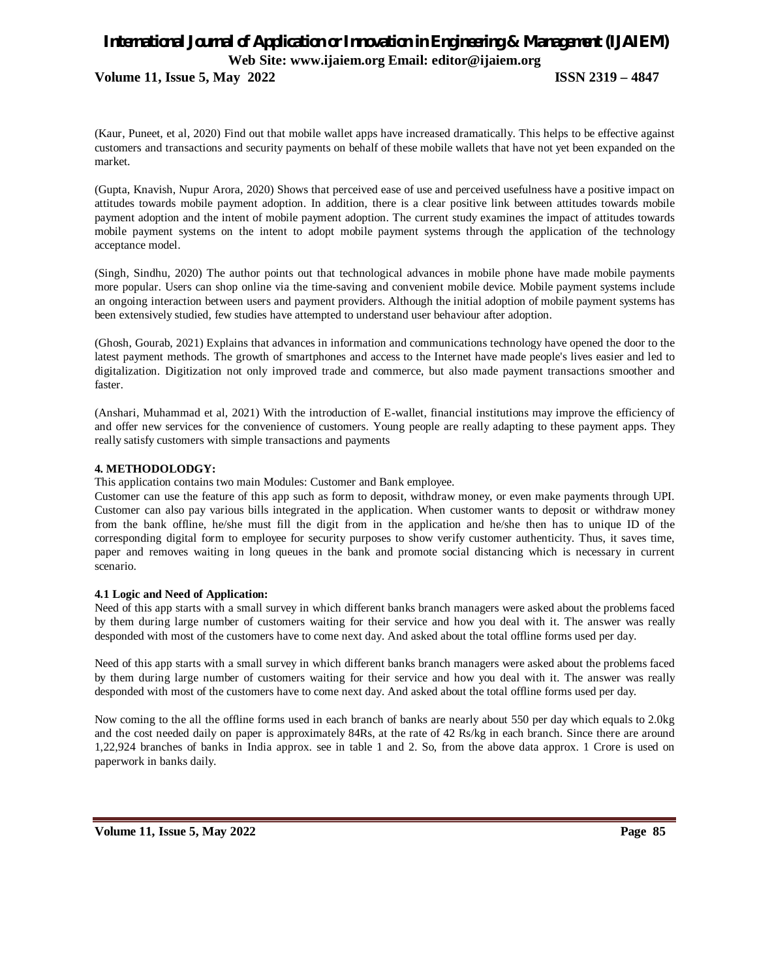**Volume 11, Issue 5, May 2022 ISSN 2319 – 4847**

(Kaur, Puneet, et al, 2020) Find out that mobile wallet apps have increased dramatically. This helps to be effective against customers and transactions and security payments on behalf of these mobile wallets that have not yet been expanded on the market.

(Gupta, Knavish, Nupur Arora, 2020) Shows that perceived ease of use and perceived usefulness have a positive impact on attitudes towards mobile payment adoption. In addition, there is a clear positive link between attitudes towards mobile payment adoption and the intent of mobile payment adoption. The current study examines the impact of attitudes towards mobile payment systems on the intent to adopt mobile payment systems through the application of the technology acceptance model.

(Singh, Sindhu, 2020) The author points out that technological advances in mobile phone have made mobile payments more popular. Users can shop online via the time-saving and convenient mobile device. Mobile payment systems include an ongoing interaction between users and payment providers. Although the initial adoption of mobile payment systems has been extensively studied, few studies have attempted to understand user behaviour after adoption.

(Ghosh, Gourab, 2021) Explains that advances in information and communications technology have opened the door to the latest payment methods. The growth of smartphones and access to the Internet have made people's lives easier and led to digitalization. Digitization not only improved trade and commerce, but also made payment transactions smoother and faster.

(Anshari, Muhammad et al, 2021) With the introduction of E-wallet, financial institutions may improve the efficiency of and offer new services for the convenience of customers. Young people are really adapting to these payment apps. They really satisfy customers with simple transactions and payments

#### **4. METHODOLODGY:**

This application contains two main Modules: Customer and Bank employee.

Customer can use the feature of this app such as form to deposit, withdraw money, or even make payments through UPI. Customer can also pay various bills integrated in the application. When customer wants to deposit or withdraw money from the bank offline, he/she must fill the digit from in the application and he/she then has to unique ID of the corresponding digital form to employee for security purposes to show verify customer authenticity. Thus, it saves time, paper and removes waiting in long queues in the bank and promote social distancing which is necessary in current scenario.

#### **4.1 Logic and Need of Application:**

Need of this app starts with a small survey in which different banks branch managers were asked about the problems faced by them during large number of customers waiting for their service and how you deal with it. The answer was really desponded with most of the customers have to come next day. And asked about the total offline forms used per day.

Need of this app starts with a small survey in which different banks branch managers were asked about the problems faced by them during large number of customers waiting for their service and how you deal with it. The answer was really desponded with most of the customers have to come next day. And asked about the total offline forms used per day.

Now coming to the all the offline forms used in each branch of banks are nearly about 550 per day which equals to 2.0kg and the cost needed daily on paper is approximately 84Rs, at the rate of 42 Rs/kg in each branch. Since there are around 1,22,924 branches of banks in India approx. see in table 1 and 2. So, from the above data approx. 1 Crore is used on paperwork in banks daily.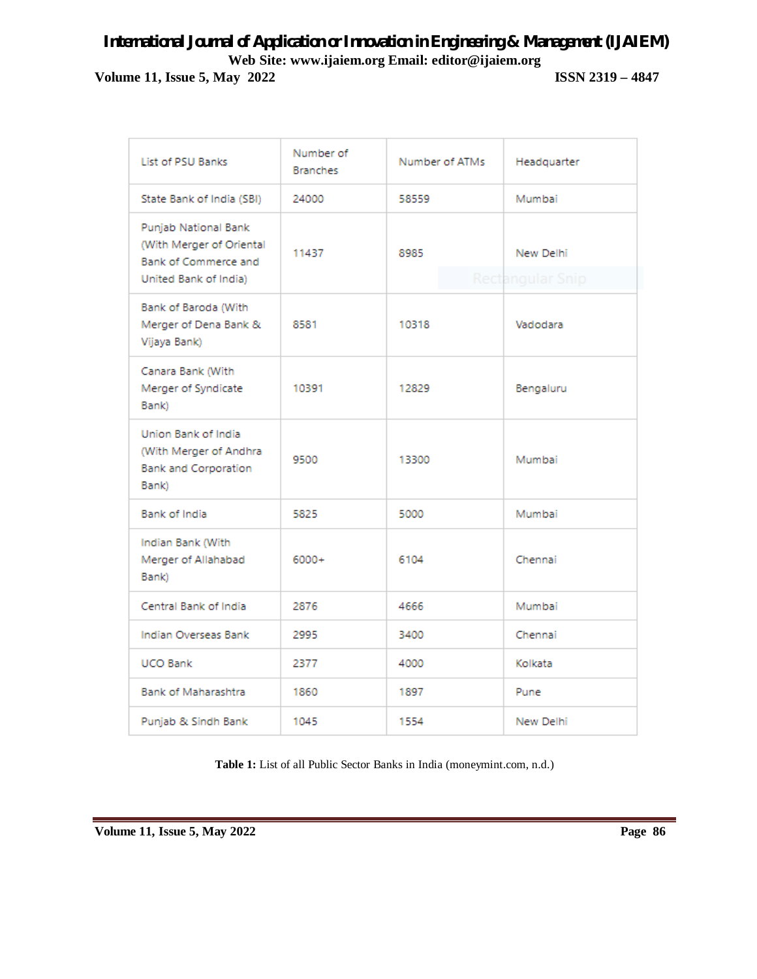# *International Journal of Application or Innovation in Engineering & Management (IJAIEM)* **Web Site: www.ijaiem.org Email: editor@ijaiem.org Volume 11, Issue 5, May 2022 ISSN 2319 – 4847**

| List of PSU Banks                                                                                 | Number of<br><b>Branches</b> | Number of ATMs | Headquarter                   |
|---------------------------------------------------------------------------------------------------|------------------------------|----------------|-------------------------------|
| State Bank of India (SBI)                                                                         | 24000                        | 58559          | Mumbai                        |
| Punjab National Bank<br>(With Merger of Oriental<br>Bank of Commerce and<br>United Bank of India) | 11437                        | 8985           | New Delhi<br>Rectangular Snip |
| Bank of Baroda (With<br>Merger of Dena Bank &<br>Vijaya Bank)                                     | 8581                         | 10318          | Vadodara                      |
| Canara Bank (With<br>Merger of Syndicate<br>Bank)                                                 | 10391                        | 12829          | Bengaluru                     |
| Union Bank of India<br>(With Merger of Andhra<br><b>Bank and Corporation</b><br>Bank)             | 9500                         | 13300          | Mumbai                        |
| Bank of India                                                                                     | 5825                         | 5000           | Mumbai                        |
| Indian Bank (With<br>Merger of Allahabad<br>Bank)                                                 | $6000+$                      | 6104           | Chennai                       |
| Central Bank of India                                                                             | 2876                         | 4666           | Mumbai                        |
| Indian Overseas Bank                                                                              | 2995                         | 3400           | Chennai                       |
| <b>UCO Bank</b>                                                                                   | 2377                         | 4000           | Kolkata                       |
| <b>Bank of Maharashtra</b>                                                                        | 1860                         | 1897           | Pune                          |
| Punjab & Sindh Bank                                                                               | 1045                         | 1554           | New Delhi                     |

**Table 1:** List of all Public Sector Banks in India (moneymint.com, n.d.)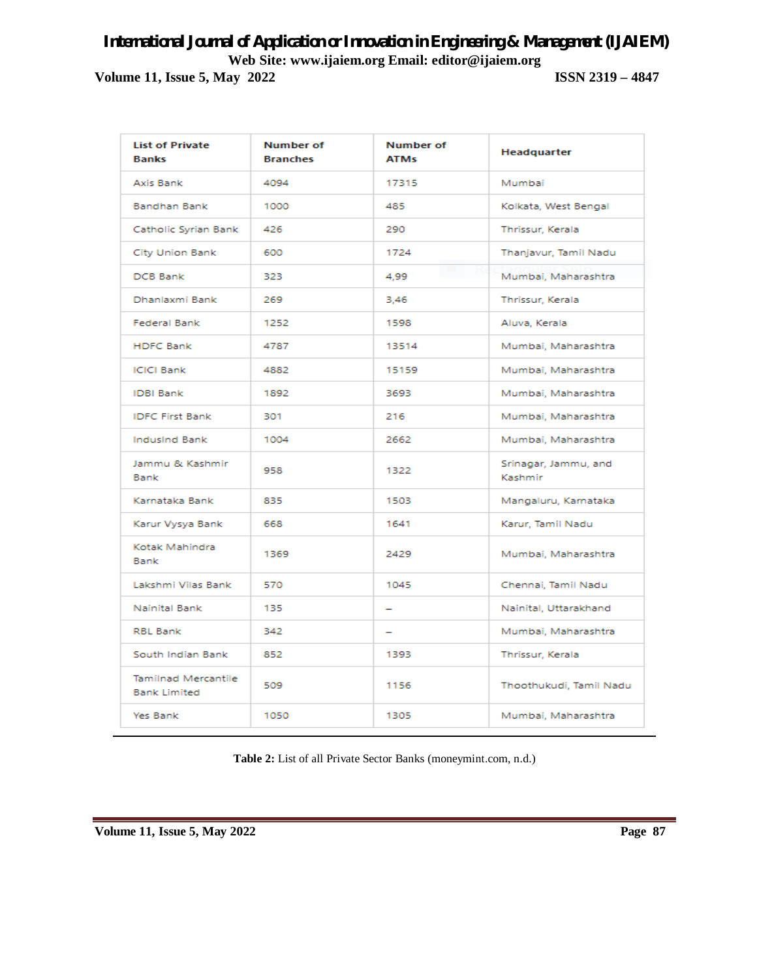**Volume 11, Issue 5, May 2022 ISSN 2319 – 4847**

| <b>List of Private</b><br><b>Banks</b>            | Number of<br><b>Branches</b> | Number of<br><b>ATMs</b> | Headquarter                     |
|---------------------------------------------------|------------------------------|--------------------------|---------------------------------|
| Axis Bank                                         | 4094                         | 17315                    | Mumbai                          |
| <b>Bandhan Bank</b>                               | 1000                         | 485                      | Kolkata, West Bengal            |
| Catholic Syrian Bank                              | 426                          | 290                      | Thrissur, Kerala                |
| <b>City Union Bank</b>                            | 600                          | 1724                     | Thanjavur, Tamil Nadu           |
| <b>DCB Bank</b>                                   | 323                          | 4.99                     | Mumbai, Maharashtra             |
| Dhanlaxmi Bank                                    | 269                          | 3,46                     | Thrissur, Kerala                |
| <b>Federal Bank</b>                               | 1252                         | 1598                     | Aluva, Kerala                   |
| <b>HDFC Bank</b>                                  | 4787                         | 13514                    | Mumbai, Maharashtra             |
| <b>ICICI Bank</b>                                 | 4882                         | 15159                    | Mumbai, Maharashtra             |
| <b>IDBI Bank</b>                                  | 1892                         | 3693                     | Mumbai, Maharashtra             |
| <b>IDFC First Bank</b>                            | 301                          | 216                      | Mumbai, Maharashtra             |
| <b>Indusind Bank</b>                              | 1004                         | 2662                     | Mumbai, Maharashtra             |
| Jammu & Kashmir<br>Bank                           | 958                          | 1322                     | Srinagar, Jammu, and<br>Kashmir |
| Karnataka Bank                                    | 835                          | 1503                     | Mangaluru, Karnataka            |
| Karur Vysya Bank                                  | 668                          | 1641                     | Karur, Tamil Nadu               |
| Kotak Mahindra<br>Bank                            | 1369                         | 2429                     | Mumbai, Maharashtra             |
| Lakshmi Vilas Bank                                | 570                          | 1045                     | Chennai, Tamil Nadu             |
| Nainital Bank                                     | 135                          |                          | Nainital, Uttarakhand           |
| <b>RBL Bank</b>                                   | 342                          | $\overline{\phantom{0}}$ | Mumbai, Maharashtra             |
| South Indian Bank                                 | 852                          | 1393                     | Thrissur, Kerala                |
| <b>Tamilnad Mercantile</b><br><b>Bank Limited</b> | 509                          | 1156                     | Thoothukudi, Tamil Nadu         |
| Yes Bank                                          | 1050                         | 1305                     | Mumbai, Maharashtra             |

**Table 2:** List of all Private Sector Banks (moneymint.com, n.d.)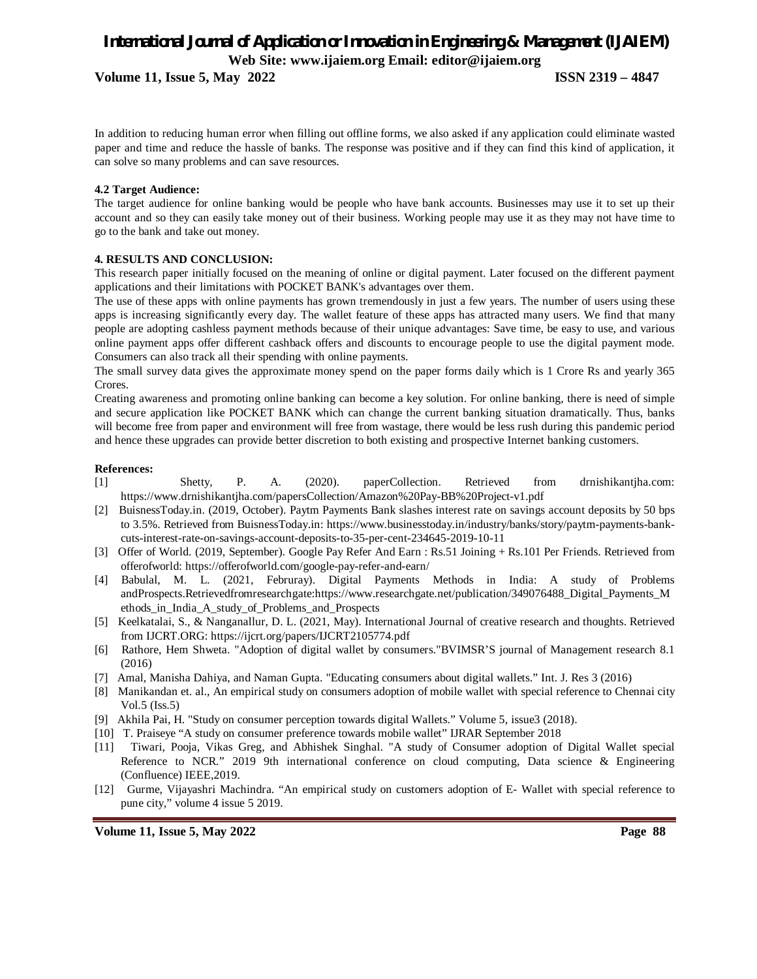**Volume 11, Issue 5, May 2022 ISSN 2319 – 4847**

In addition to reducing human error when filling out offline forms, we also asked if any application could eliminate wasted paper and time and reduce the hassle of banks. The response was positive and if they can find this kind of application, it can solve so many problems and can save resources.

#### **4.2 Target Audience:**

The target audience for online banking would be people who have bank accounts. Businesses may use it to set up their account and so they can easily take money out of their business. Working people may use it as they may not have time to go to the bank and take out money.

#### **4. RESULTS AND CONCLUSION:**

This research paper initially focused on the meaning of online or digital payment. Later focused on the different payment applications and their limitations with POCKET BANK's advantages over them.

The use of these apps with online payments has grown tremendously in just a few years. The number of users using these apps is increasing significantly every day. The wallet feature of these apps has attracted many users. We find that many people are adopting cashless payment methods because of their unique advantages: Save time, be easy to use, and various online payment apps offer different cashback offers and discounts to encourage people to use the digital payment mode. Consumers can also track all their spending with online payments.

The small survey data gives the approximate money spend on the paper forms daily which is 1 Crore Rs and yearly 365 Crores.

Creating awareness and promoting online banking can become a key solution. For online banking, there is need of simple and secure application like POCKET BANK which can change the current banking situation dramatically. Thus, banks will become free from paper and environment will free from wastage, there would be less rush during this pandemic period and hence these upgrades can provide better discretion to both existing and prospective Internet banking customers.

#### **References:**

- [1] Shetty, P. A. (2020). paperCollection. Retrieved from drnishikantjha.com: https://www.drnishikantjha.com/papersCollection/Amazon%20Pay-BB%20Project-v1.pdf
- [2] BuisnessToday.in. (2019, October). Paytm Payments Bank slashes interest rate on savings account deposits by 50 bps to 3.5%. Retrieved from BuisnessToday.in: https://www.businesstoday.in/industry/banks/story/paytm-payments-bankcuts-interest-rate-on-savings-account-deposits-to-35-per-cent-234645-2019-10-11
- [3] Offer of World. (2019, September). Google Pay Refer And Earn : Rs.51 Joining + Rs.101 Per Friends. Retrieved from offerofworld: https://offerofworld.com/google-pay-refer-and-earn/
- [4] Babulal, M. L. (2021, Februray). Digital Payments Methods in India: A study of Problems andProspects.Retrievedfromresearchgate:https://www.researchgate.net/publication/349076488\_Digital\_Payments\_M ethods\_in\_India\_A\_study\_of\_Problems\_and\_Prospects
- [5] Keelkatalai, S., & Nanganallur, D. L. (2021, May). International Journal of creative research and thoughts. Retrieved from IJCRT.ORG: https://ijcrt.org/papers/IJCRT2105774.pdf
- [6] Rathore, Hem Shweta. "Adoption of digital wallet by consumers."BVIMSR'S journal of Management research 8.1 (2016)
- [7] Amal, Manisha Dahiya, and Naman Gupta. "Educating consumers about digital wallets." Int. J. Res 3 (2016)
- [8] Manikandan et. al., An empirical study on consumers adoption of mobile wallet with special reference to Chennai city Vol.5 (Iss.5)
- [9] Akhila Pai, H. "Study on consumer perception towards digital Wallets." Volume 5, issue3 (2018).
- [10] T. Praiseye "A study on consumer preference towards mobile wallet" IJRAR September 2018
- [11] Tiwari, Pooja, Vikas Greg, and Abhishek Singhal. "A study of Consumer adoption of Digital Wallet special Reference to NCR." 2019 9th international conference on cloud computing, Data science & Engineering (Confluence) IEEE,2019.
- [12] Gurme, Vijayashri Machindra. "An empirical study on customers adoption of E- Wallet with special reference to pune city," volume 4 issue 5 2019.

**Volume 11, Issue 5, May 2022** Page 88